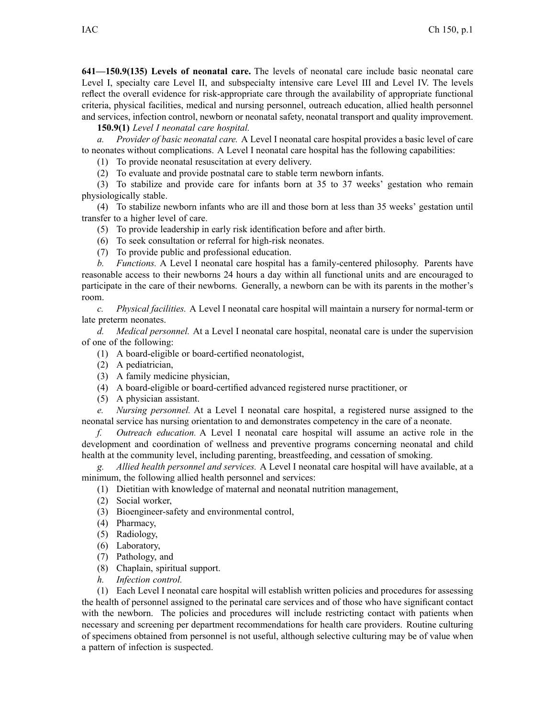**641—150.9(135) Levels of neonatal care.** The levels of neonatal care include basic neonatal care Level I, specialty care Level II, and subspecialty intensive care Level III and Level IV. The levels reflect the overall evidence for risk-appropriate care through the availability of appropriate functional criteria, physical facilities, medical and nursing personnel, outreach education, allied health personnel and services, infection control, newborn or neonatal safety, neonatal transport and quality improvement.

**150.9(1)** *Level I neonatal care hospital.*

*a. Provider of basic neonatal care.* A Level I neonatal care hospital provides <sup>a</sup> basic level of care to neonates without complications. A Level I neonatal care hospital has the following capabilities:

(1) To provide neonatal resuscitation at every delivery.

(2) To evaluate and provide postnatal care to stable term newborn infants.

(3) To stabilize and provide care for infants born at 35 to 37 weeks' gestation who remain physiologically stable.

(4) To stabilize newborn infants who are ill and those born at less than 35 weeks' gestation until transfer to <sup>a</sup> higher level of care.

(5) To provide leadership in early risk identification before and after birth.

(6) To seek consultation or referral for high-risk neonates.

(7) To provide public and professional education.

*b. Functions.* A Level I neonatal care hospital has <sup>a</sup> family-centered philosophy. Parents have reasonable access to their newborns 24 hours <sup>a</sup> day within all functional units and are encouraged to participate in the care of their newborns. Generally, <sup>a</sup> newborn can be with its parents in the mother's room.

*c. Physical facilities.* A Level I neonatal care hospital will maintain <sup>a</sup> nursery for normal-term or late preterm neonates.

*d. Medical personnel.* At <sup>a</sup> Level I neonatal care hospital, neonatal care is under the supervision of one of the following:

(1) A board-eligible or board-certified neonatologist,

- (2) A pediatrician,
- (3) A family medicine physician,
- (4) A board-eligible or board-certified advanced registered nurse practitioner, or
- (5) A physician assistant.

*e. Nursing personnel.* At <sup>a</sup> Level I neonatal care hospital, <sup>a</sup> registered nurse assigned to the neonatal service has nursing orientation to and demonstrates competency in the care of <sup>a</sup> neonate.

*f. Outreach education.* A Level I neonatal care hospital will assume an active role in the development and coordination of wellness and preventive programs concerning neonatal and child health at the community level, including parenting, breastfeeding, and cessation of smoking.

*g. Allied health personnel and services.* A Level I neonatal care hospital will have available, at <sup>a</sup> minimum, the following allied health personnel and services:

(1) Dietitian with knowledge of maternal and neonatal nutrition management,

- (2) Social worker,
- (3) Bioengineer-safety and environmental control,
- (4) Pharmacy,
- (5) Radiology,
- (6) Laboratory,
- (7) Pathology, and
- (8) Chaplain, spiritual support.
- *h. Infection control.*

(1) Each Level I neonatal care hospital will establish written policies and procedures for assessing the health of personnel assigned to the perinatal care services and of those who have significant contact with the newborn. The policies and procedures will include restricting contact with patients when necessary and screening per department recommendations for health care providers. Routine culturing of specimens obtained from personnel is not useful, although selective culturing may be of value when <sup>a</sup> pattern of infection is suspected.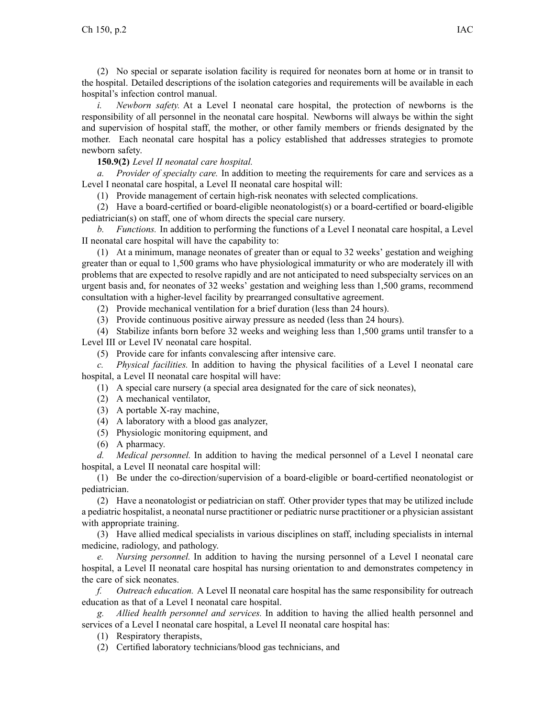(2) No special or separate isolation facility is required for neonates born at home or in transit to the hospital. Detailed descriptions of the isolation categories and requirements will be available in each hospital's infection control manual.

*i. Newborn safety.* At <sup>a</sup> Level I neonatal care hospital, the protection of newborns is the responsibility of all personnel in the neonatal care hospital. Newborns will always be within the sight and supervision of hospital staff, the mother, or other family members or friends designated by the mother. Each neonatal care hospital has <sup>a</sup> policy established that addresses strategies to promote newborn safety.

## **150.9(2)** *Level II neonatal care hospital.*

*a. Provider of specialty care.* In addition to meeting the requirements for care and services as <sup>a</sup> Level I neonatal care hospital, <sup>a</sup> Level II neonatal care hospital will:

(1) Provide managemen<sup>t</sup> of certain high-risk neonates with selected complications.

(2) Have <sup>a</sup> board-certified or board-eligible neonatologist(s) or <sup>a</sup> board-certified or board-eligible pediatrician(s) on staff, one of whom directs the special care nursery.

*b. Functions.* In addition to performing the functions of <sup>a</sup> Level I neonatal care hospital, <sup>a</sup> Level II neonatal care hospital will have the capability to:

(1) At <sup>a</sup> minimum, manage neonates of greater than or equal to 32 weeks' gestation and weighing greater than or equal to 1,500 grams who have physiological immaturity or who are moderately ill with problems that are expected to resolve rapidly and are not anticipated to need subspecialty services on an urgen<sup>t</sup> basis and, for neonates of 32 weeks' gestation and weighing less than 1,500 grams, recommend consultation with <sup>a</sup> higher-level facility by prearranged consultative agreement.

(2) Provide mechanical ventilation for <sup>a</sup> brief duration (less than 24 hours).

(3) Provide continuous positive airway pressure as needed (less than 24 hours).

(4) Stabilize infants born before 32 weeks and weighing less than 1,500 grams until transfer to <sup>a</sup> Level III or Level IV neonatal care hospital.

(5) Provide care for infants convalescing after intensive care.

*c. Physical facilities.* In addition to having the physical facilities of <sup>a</sup> Level I neonatal care hospital, <sup>a</sup> Level II neonatal care hospital will have:

(1) A special care nursery (a special area designated for the care of sick neonates),

(2) A mechanical ventilator,

(3) A portable X-ray machine,

(4) A laboratory with <sup>a</sup> blood gas analyzer,

(5) Physiologic monitoring equipment, and

(6) A pharmacy.

*d. Medical personnel.* In addition to having the medical personnel of <sup>a</sup> Level I neonatal care hospital, <sup>a</sup> Level II neonatal care hospital will:

(1) Be under the co-direction/supervision of <sup>a</sup> board-eligible or board-certified neonatologist or pediatrician.

(2) Have <sup>a</sup> neonatologist or pediatrician on staff. Other provider types that may be utilized include <sup>a</sup> pediatric hospitalist, <sup>a</sup> neonatal nurse practitioner or pediatric nurse practitioner or <sup>a</sup> physician assistant with appropriate training.

(3) Have allied medical specialists in various disciplines on staff, including specialists in internal medicine, radiology, and pathology.

*e. Nursing personnel.* In addition to having the nursing personnel of <sup>a</sup> Level I neonatal care hospital, <sup>a</sup> Level II neonatal care hospital has nursing orientation to and demonstrates competency in the care of sick neonates.

*f. Outreach education.* A Level II neonatal care hospital has the same responsibility for outreach education as that of <sup>a</sup> Level I neonatal care hospital.

*g. Allied health personnel and services.* In addition to having the allied health personnel and services of <sup>a</sup> Level I neonatal care hospital, <sup>a</sup> Level II neonatal care hospital has:

(1) Respiratory therapists,

(2) Certified laboratory technicians/blood gas technicians, and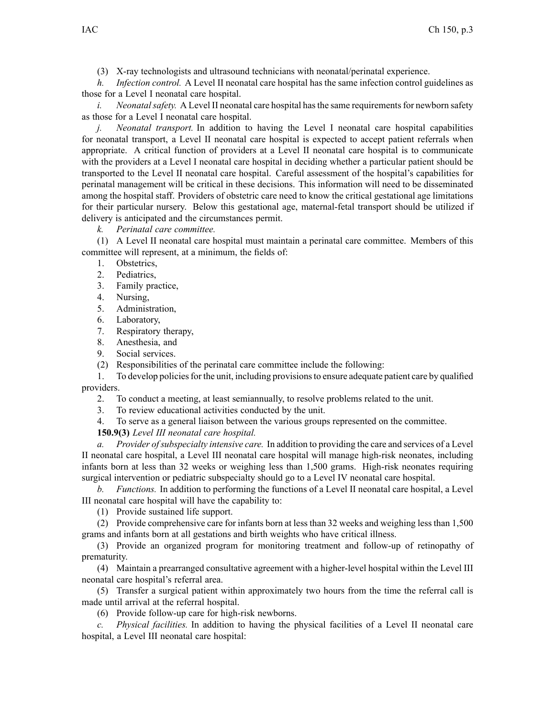(3) X-ray technologists and ultrasound technicians with neonatal/perinatal experience.

*h. Infection control.* A Level II neonatal care hospital has the same infection control guidelines as those for <sup>a</sup> Level I neonatal care hospital.

*i. Neonatal safety.* A Level II neonatal care hospital has the same requirements for newborn safety as those for <sup>a</sup> Level I neonatal care hospital.

*j. Neonatal transport.* In addition to having the Level I neonatal care hospital capabilities for neonatal transport, <sup>a</sup> Level II neonatal care hospital is expected to accep<sup>t</sup> patient referrals when appropriate. A critical function of providers at <sup>a</sup> Level II neonatal care hospital is to communicate with the providers at <sup>a</sup> Level I neonatal care hospital in deciding whether <sup>a</sup> particular patient should be transported to the Level II neonatal care hospital. Careful assessment of the hospital's capabilities for perinatal managemen<sup>t</sup> will be critical in these decisions. This information will need to be disseminated among the hospital staff. Providers of obstetric care need to know the critical gestational age limitations for their particular nursery. Below this gestational age, maternal-fetal transport should be utilized if delivery is anticipated and the circumstances permit.

*k. Perinatal care committee.*

(1) A Level II neonatal care hospital must maintain <sup>a</sup> perinatal care committee. Members of this committee will represent, at <sup>a</sup> minimum, the fields of:

- 1. Obstetrics,
- 2. Pediatrics,
- 3. Family practice,
- 4. Nursing,
- 5. Administration,
- 6. Laboratory,
- 7. Respiratory therapy,
- 8. Anesthesia, and
- 9. Social services.
- (2) Responsibilities of the perinatal care committee include the following:

1. To develop policiesfor the unit, including provisionsto ensure adequate patient care by qualified providers.

- 2. To conduct <sup>a</sup> meeting, at least semiannually, to resolve problems related to the unit.
- 3. To review educational activities conducted by the unit.
- 4. To serve as <sup>a</sup> general liaison between the various groups represented on the committee.
- **150.9(3)** *Level III neonatal care hospital.*

*a. Provider ofsubspecialty intensive care.* In addition to providing the care and services of <sup>a</sup> Level II neonatal care hospital, <sup>a</sup> Level III neonatal care hospital will manage high-risk neonates, including infants born at less than 32 weeks or weighing less than 1,500 grams. High-risk neonates requiring surgical intervention or pediatric subspecialty should go to <sup>a</sup> Level IV neonatal care hospital.

*b. Functions.* In addition to performing the functions of <sup>a</sup> Level II neonatal care hospital, <sup>a</sup> Level III neonatal care hospital will have the capability to:

(1) Provide sustained life support.

(2) Provide comprehensive care for infants born at less than 32 weeks and weighing less than 1,500 grams and infants born at all gestations and birth weights who have critical illness.

(3) Provide an organized program for monitoring treatment and follow-up of retinopathy of prematurity.

(4) Maintain <sup>a</sup> prearranged consultative agreemen<sup>t</sup> with <sup>a</sup> higher-level hospital within the Level III neonatal care hospital's referral area.

(5) Transfer <sup>a</sup> surgical patient within approximately two hours from the time the referral call is made until arrival at the referral hospital.

(6) Provide follow-up care for high-risk newborns.

*c. Physical facilities.* In addition to having the physical facilities of <sup>a</sup> Level II neonatal care hospital, <sup>a</sup> Level III neonatal care hospital: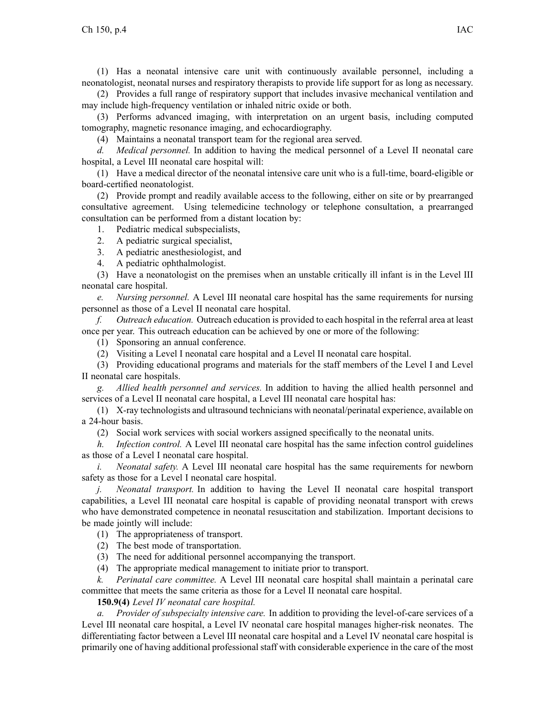(1) Has <sup>a</sup> neonatal intensive care unit with continuously available personnel, including <sup>a</sup> neonatologist, neonatal nurses and respiratory therapists to provide life suppor<sup>t</sup> for as long as necessary.

(2) Provides <sup>a</sup> full range of respiratory suppor<sup>t</sup> that includes invasive mechanical ventilation and may include high-frequency ventilation or inhaled nitric oxide or both.

(3) Performs advanced imaging, with interpretation on an urgen<sup>t</sup> basis, including computed tomography, magnetic resonance imaging, and echocardiography.

(4) Maintains <sup>a</sup> neonatal transport team for the regional area served.

*d. Medical personnel.* In addition to having the medical personnel of <sup>a</sup> Level II neonatal care hospital, <sup>a</sup> Level III neonatal care hospital will:

(1) Have <sup>a</sup> medical director of the neonatal intensive care unit who is <sup>a</sup> full-time, board-eligible or board-certified neonatologist.

(2) Provide promp<sup>t</sup> and readily available access to the following, either on site or by prearranged consultative agreement. Using telemedicine technology or telephone consultation, <sup>a</sup> prearranged consultation can be performed from <sup>a</sup> distant location by:

1. Pediatric medical subspecialists,

- 2. A pediatric surgical specialist,
- 3. A pediatric anesthesiologist, and
- 4. A pediatric ophthalmologist.

(3) Have <sup>a</sup> neonatologist on the premises when an unstable critically ill infant is in the Level III neonatal care hospital.

*e. Nursing personnel.* A Level III neonatal care hospital has the same requirements for nursing personnel as those of <sup>a</sup> Level II neonatal care hospital.

*f. Outreach education.* Outreach education is provided to each hospital in the referral area at least once per year. This outreach education can be achieved by one or more of the following:

(1) Sponsoring an annual conference.

(2) Visiting <sup>a</sup> Level I neonatal care hospital and <sup>a</sup> Level II neonatal care hospital.

(3) Providing educational programs and materials for the staff members of the Level I and Level II neonatal care hospitals.

*g. Allied health personnel and services.* In addition to having the allied health personnel and services of <sup>a</sup> Level II neonatal care hospital, <sup>a</sup> Level III neonatal care hospital has:

(1) X-ray technologists and ultrasound technicians with neonatal/perinatal experience, available on <sup>a</sup> 24-hour basis.

(2) Social work services with social workers assigned specifically to the neonatal units.

*h. Infection control.* A Level III neonatal care hospital has the same infection control guidelines as those of <sup>a</sup> Level I neonatal care hospital.

*i. Neonatal safety.* A Level III neonatal care hospital has the same requirements for newborn safety as those for <sup>a</sup> Level I neonatal care hospital.

*j. Neonatal transport.* In addition to having the Level II neonatal care hospital transport capabilities, <sup>a</sup> Level III neonatal care hospital is capable of providing neonatal transport with crews who have demonstrated competence in neonatal resuscitation and stabilization. Important decisions to be made jointly will include:

(1) The appropriateness of transport.

(2) The best mode of transportation.

(3) The need for additional personnel accompanying the transport.

(4) The appropriate medical managemen<sup>t</sup> to initiate prior to transport.

*k. Perinatal care committee.* A Level III neonatal care hospital shall maintain <sup>a</sup> perinatal care committee that meets the same criteria as those for <sup>a</sup> Level II neonatal care hospital.

**150.9(4)** *Level IV neonatal care hospital.*

*a. Provider of subspecialty intensive care.* In addition to providing the level-of-care services of <sup>a</sup> Level III neonatal care hospital, <sup>a</sup> Level IV neonatal care hospital manages higher-risk neonates. The differentiating factor between <sup>a</sup> Level III neonatal care hospital and <sup>a</sup> Level IV neonatal care hospital is primarily one of having additional professional staff with considerable experience in the care of the most